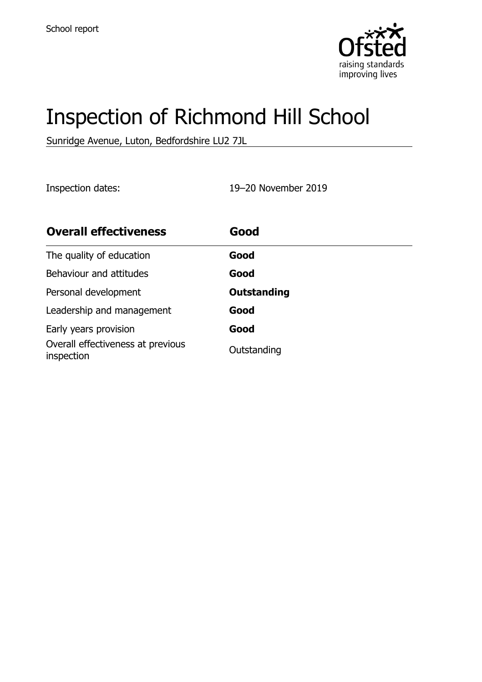

# Inspection of Richmond Hill School

Sunridge Avenue, Luton, Bedfordshire LU2 7JL

Inspection dates: 19–20 November 2019

| <b>Overall effectiveness</b>                    | Good               |
|-------------------------------------------------|--------------------|
| The quality of education                        | Good               |
| Behaviour and attitudes                         | Good               |
| Personal development                            | <b>Outstanding</b> |
| Leadership and management                       | Good               |
| Early years provision                           | Good               |
| Overall effectiveness at previous<br>inspection | Outstanding        |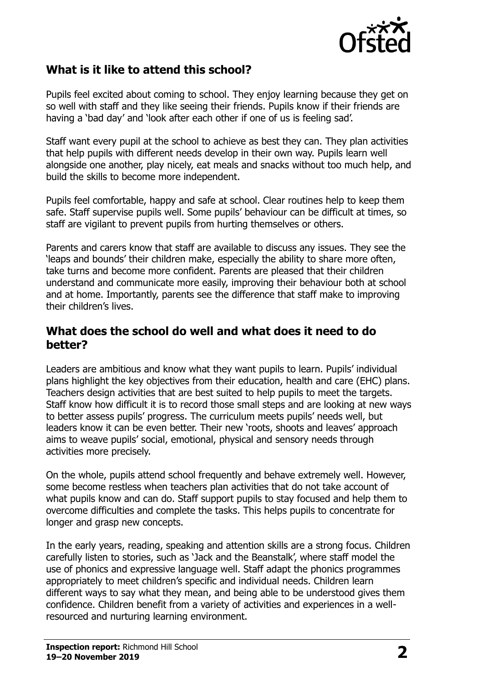

### **What is it like to attend this school?**

Pupils feel excited about coming to school. They enjoy learning because they get on so well with staff and they like seeing their friends. Pupils know if their friends are having a 'bad day' and 'look after each other if one of us is feeling sad'.

Staff want every pupil at the school to achieve as best they can. They plan activities that help pupils with different needs develop in their own way. Pupils learn well alongside one another, play nicely, eat meals and snacks without too much help, and build the skills to become more independent.

Pupils feel comfortable, happy and safe at school. Clear routines help to keep them safe. Staff supervise pupils well. Some pupils' behaviour can be difficult at times, so staff are vigilant to prevent pupils from hurting themselves or others.

Parents and carers know that staff are available to discuss any issues. They see the 'leaps and bounds' their children make, especially the ability to share more often, take turns and become more confident. Parents are pleased that their children understand and communicate more easily, improving their behaviour both at school and at home. Importantly, parents see the difference that staff make to improving their children's lives.

#### **What does the school do well and what does it need to do better?**

Leaders are ambitious and know what they want pupils to learn. Pupils' individual plans highlight the key objectives from their education, health and care (EHC) plans. Teachers design activities that are best suited to help pupils to meet the targets. Staff know how difficult it is to record those small steps and are looking at new ways to better assess pupils' progress. The curriculum meets pupils' needs well, but leaders know it can be even better. Their new 'roots, shoots and leaves' approach aims to weave pupils' social, emotional, physical and sensory needs through activities more precisely.

On the whole, pupils attend school frequently and behave extremely well. However, some become restless when teachers plan activities that do not take account of what pupils know and can do. Staff support pupils to stay focused and help them to overcome difficulties and complete the tasks. This helps pupils to concentrate for longer and grasp new concepts.

In the early years, reading, speaking and attention skills are a strong focus. Children carefully listen to stories, such as 'Jack and the Beanstalk', where staff model the use of phonics and expressive language well. Staff adapt the phonics programmes appropriately to meet children's specific and individual needs. Children learn different ways to say what they mean, and being able to be understood gives them confidence. Children benefit from a variety of activities and experiences in a wellresourced and nurturing learning environment.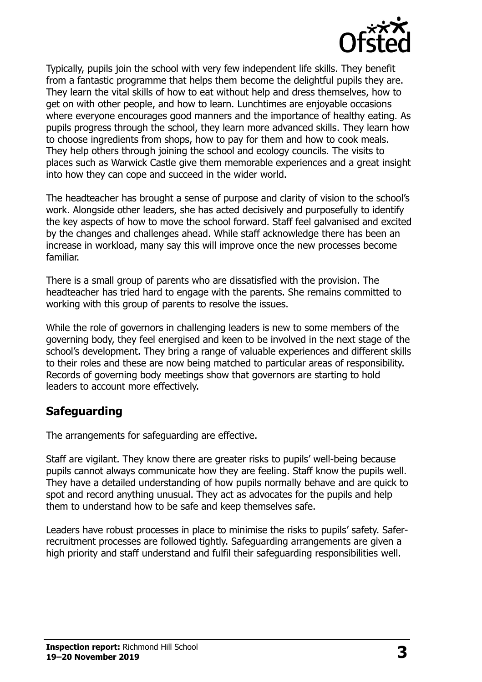

Typically, pupils join the school with very few independent life skills. They benefit from a fantastic programme that helps them become the delightful pupils they are. They learn the vital skills of how to eat without help and dress themselves, how to get on with other people, and how to learn. Lunchtimes are enjoyable occasions where everyone encourages good manners and the importance of healthy eating. As pupils progress through the school, they learn more advanced skills. They learn how to choose ingredients from shops, how to pay for them and how to cook meals. They help others through joining the school and ecology councils. The visits to places such as Warwick Castle give them memorable experiences and a great insight into how they can cope and succeed in the wider world.

The headteacher has brought a sense of purpose and clarity of vision to the school's work. Alongside other leaders, she has acted decisively and purposefully to identify the key aspects of how to move the school forward. Staff feel galvanised and excited by the changes and challenges ahead. While staff acknowledge there has been an increase in workload, many say this will improve once the new processes become familiar.

There is a small group of parents who are dissatisfied with the provision. The headteacher has tried hard to engage with the parents. She remains committed to working with this group of parents to resolve the issues.

While the role of governors in challenging leaders is new to some members of the governing body, they feel energised and keen to be involved in the next stage of the school's development. They bring a range of valuable experiences and different skills to their roles and these are now being matched to particular areas of responsibility. Records of governing body meetings show that governors are starting to hold leaders to account more effectively.

#### **Safeguarding**

The arrangements for safeguarding are effective.

Staff are vigilant. They know there are greater risks to pupils' well-being because pupils cannot always communicate how they are feeling. Staff know the pupils well. They have a detailed understanding of how pupils normally behave and are quick to spot and record anything unusual. They act as advocates for the pupils and help them to understand how to be safe and keep themselves safe.

Leaders have robust processes in place to minimise the risks to pupils' safety. Saferrecruitment processes are followed tightly. Safeguarding arrangements are given a high priority and staff understand and fulfil their safeguarding responsibilities well.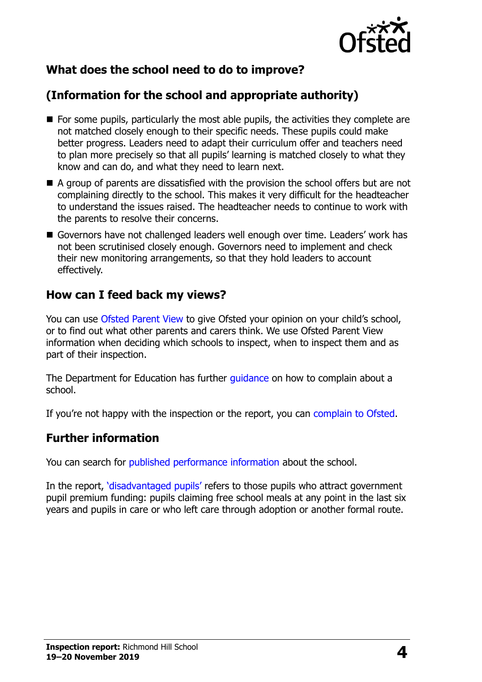

# **What does the school need to do to improve?**

# **(Information for the school and appropriate authority)**

- $\blacksquare$  For some pupils, particularly the most able pupils, the activities they complete are not matched closely enough to their specific needs. These pupils could make better progress. Leaders need to adapt their curriculum offer and teachers need to plan more precisely so that all pupils' learning is matched closely to what they know and can do, and what they need to learn next.
- A group of parents are dissatisfied with the provision the school offers but are not complaining directly to the school. This makes it very difficult for the headteacher to understand the issues raised. The headteacher needs to continue to work with the parents to resolve their concerns.
- Governors have not challenged leaders well enough over time. Leaders' work has not been scrutinised closely enough. Governors need to implement and check their new monitoring arrangements, so that they hold leaders to account effectively.

#### **How can I feed back my views?**

You can use [Ofsted Parent View](http://parentview.ofsted.gov.uk/) to give Ofsted your opinion on your child's school, or to find out what other parents and carers think. We use Ofsted Parent View information when deciding which schools to inspect, when to inspect them and as part of their inspection.

The Department for Education has further quidance on how to complain about a school.

If you're not happy with the inspection or the report, you can [complain to Ofsted.](http://www.gov.uk/complain-ofsted-report)

#### **Further information**

You can search for [published performance information](http://www.compare-school-performance.service.gov.uk/) about the school.

In the report, '[disadvantaged pupils](http://www.gov.uk/guidance/pupil-premium-information-for-schools-and-alternative-provision-settings)' refers to those pupils who attract government pupil premium funding: pupils claiming free school meals at any point in the last six years and pupils in care or who left care through adoption or another formal route.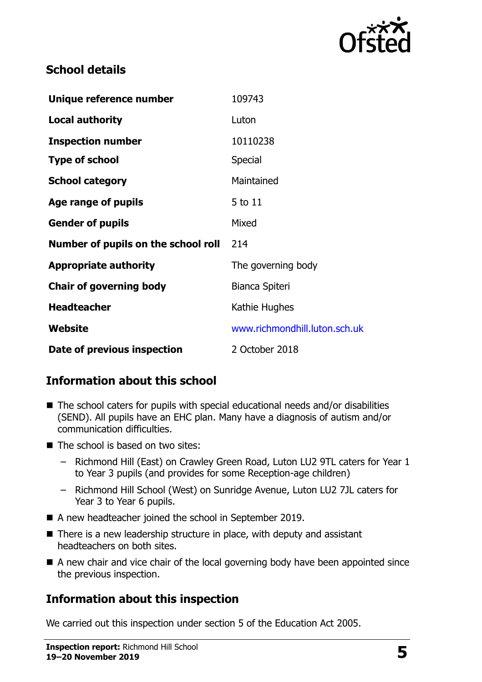

## **School details**

| Unique reference number             | 109743                        |
|-------------------------------------|-------------------------------|
| <b>Local authority</b>              | Luton                         |
| <b>Inspection number</b>            | 10110238                      |
| <b>Type of school</b>               | Special                       |
| <b>School category</b>              | Maintained                    |
| Age range of pupils                 | 5 to 11                       |
| <b>Gender of pupils</b>             | Mixed                         |
| Number of pupils on the school roll | 214                           |
| <b>Appropriate authority</b>        | The governing body            |
| <b>Chair of governing body</b>      | Bianca Spiteri                |
| <b>Headteacher</b>                  | Kathie Hughes                 |
| Website                             | www.richmondhill.luton.sch.uk |
| Date of previous inspection         | 2 October 2018                |

# **Information about this school**

- $\blacksquare$  The school caters for pupils with special educational needs and/or disabilities (SEND). All pupils have an EHC plan. Many have a diagnosis of autism and/or communication difficulties.
- $\blacksquare$  The school is based on two sites:
	- Richmond Hill (East) on Crawley Green Road, Luton LU2 9TL caters for Year 1 to Year 3 pupils (and provides for some Reception-age children)
	- Richmond Hill School (West) on Sunridge Avenue, Luton LU2 7JL caters for Year 3 to Year 6 pupils.
- A new headteacher joined the school in September 2019.
- There is a new leadership structure in place, with deputy and assistant headteachers on both sites.
- A new chair and vice chair of the local governing body have been appointed since the previous inspection.

# **Information about this inspection**

We carried out this inspection under section 5 of the Education Act 2005.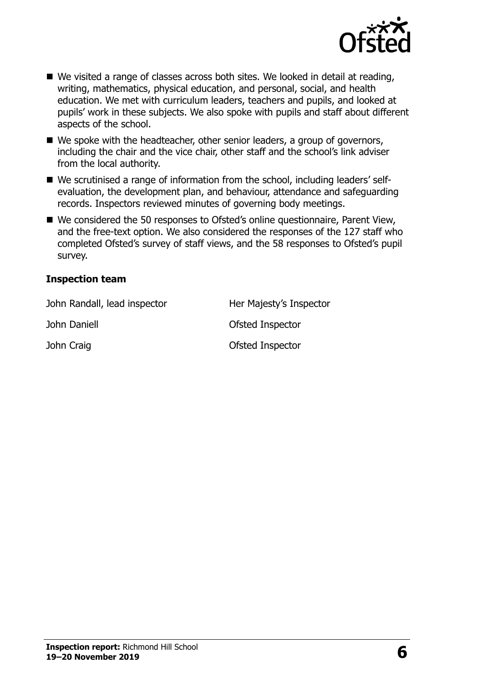

- We visited a range of classes across both sites. We looked in detail at reading, writing, mathematics, physical education, and personal, social, and health education. We met with curriculum leaders, teachers and pupils, and looked at pupils' work in these subjects. We also spoke with pupils and staff about different aspects of the school.
- We spoke with the headteacher, other senior leaders, a group of governors, including the chair and the vice chair, other staff and the school's link adviser from the local authority.
- We scrutinised a range of information from the school, including leaders' selfevaluation, the development plan, and behaviour, attendance and safeguarding records. Inspectors reviewed minutes of governing body meetings.
- We considered the 50 responses to Ofsted's online questionnaire, Parent View, and the free-text option. We also considered the responses of the 127 staff who completed Ofsted's survey of staff views, and the 58 responses to Ofsted's pupil survey.

#### **Inspection team**

| John Randall, lead inspector | Her Majesty's Inspector |
|------------------------------|-------------------------|
| John Daniell                 | Ofsted Inspector        |
| John Craig                   | Ofsted Inspector        |